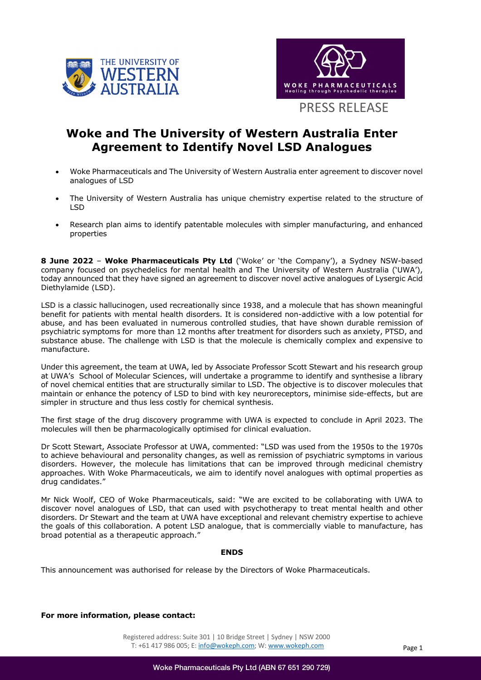



# **Woke and The University of Western Australia Enter Agreement to Identify Novel LSD Analogues**

- Woke Pharmaceuticals and The University of Western Australia enter agreement to discover novel analogues of LSD
- The University of Western Australia has unique chemistry expertise related to the structure of LSD
- Research plan aims to identify patentable molecules with simpler manufacturing, and enhanced properties

**8 June 2022** – **Woke Pharmaceuticals Pty Ltd** ('Woke' or 'the Company'), a Sydney NSW-based company focused on psychedelics for mental health and The University of Western Australia ('UWA'), today announced that they have signed an agreement to discover novel active analogues of Lysergic Acid Diethylamide (LSD).

LSD is a classic hallucinogen, used recreationally since 1938, and a molecule that has shown meaningful benefit for patients with mental health disorders. It is considered non-addictive with a low potential for abuse, and has been evaluated in numerous controlled studies, that have shown durable remission of psychiatric symptoms for more than 12 months after treatment for disorders such as anxiety, PTSD, and substance abuse. The challenge with LSD is that the molecule is chemically complex and expensive to manufacture.

Under this agreement, the team at UWA, led by Associate Professor Scott Stewart and his research group at UWA's School of Molecular Sciences, will undertake a programme to identify and synthesise a library of novel chemical entities that are structurally similar to LSD. The objective is to discover molecules that maintain or enhance the potency of LSD to bind with key neuroreceptors, minimise side-effects, but are simpler in structure and thus less costly for chemical synthesis.

The first stage of the drug discovery programme with UWA is expected to conclude in April 2023. The molecules will then be pharmacologically optimised for clinical evaluation.

Dr Scott Stewart, Associate Professor at UWA, commented: "LSD was used from the 1950s to the 1970s to achieve behavioural and personality changes, as well as remission of psychiatric symptoms in various disorders. However, the molecule has limitations that can be improved through medicinal chemistry approaches. With Woke Pharmaceuticals, we aim to identify novel analogues with optimal properties as drug candidates."

Mr Nick Woolf, CEO of Woke Pharmaceuticals, said: "We are excited to be collaborating with UWA to discover novel analogues of LSD, that can used with psychotherapy to treat mental health and other disorders. Dr Stewart and the team at UWA have exceptional and relevant chemistry expertise to achieve the goals of this collaboration. A potent LSD analogue, that is commercially viable to manufacture, has broad potential as a therapeutic approach."

### **ENDS**

This announcement was authorised for release by the Directors of Woke Pharmaceuticals.

### **For more information, please contact:**

Registered address: Suite 301 | 10 Bridge Street | Sydney | NSW 2000 T: +61 417 986 005; E: info@wokeph.com; W: www.wokeph.com